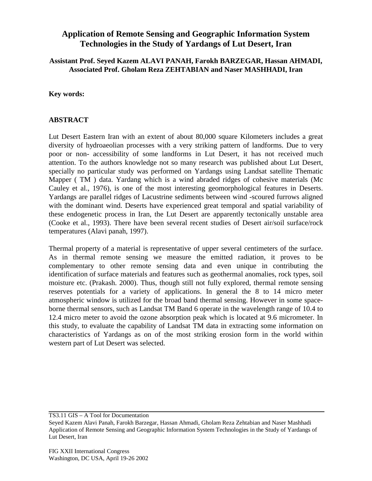## **Application of Remote Sensing and Geographic Information System Technologies in the Study of Yardangs of Lut Desert, Iran**

## **Assistant Prof. Seyed Kazem ALAVI PANAH, Farokh BARZEGAR, Hassan AHMADI, Associated Prof. Gholam Reza ZEHTABIAN and Naser MASHHADI, Iran**

**Key words:**

## **ABSTRACT**

Lut Desert Eastern Iran with an extent of about 80,000 square Kilometers includes a great diversity of hydroaeolian processes with a very striking pattern of landforms. Due to very poor or non- accessibility of some landforms in Lut Desert, it has not received much attention. To the authors knowledge not so many research was published about Lut Desert, specially no particular study was performed on Yardangs using Landsat satellite Thematic Mapper ( TM ) data. Yardang which is a wind abraded ridges of cohesive materials (Mc Cauley et al., 1976), is one of the most interesting geomorphological features in Deserts. Yardangs are parallel ridges of Lacustrine sediments between wind -scoured furrows aligned with the dominant wind. Deserts have experienced great temporal and spatial variability of these endogenetic process in Iran, the Lut Desert are apparently tectonically unstable area (Cooke et al., 1993). There have been several recent studies of Desert air/soil surface/rock temperatures (Alavi panah, 1997).

Thermal property of a material is representative of upper several centimeters of the surface. As in thermal remote sensing we measure the emitted radiation, it proves to be complementary to other remote sensing data and even unique in contributing the identification of surface materials and features such as geothermal anomalies, rock types, soil moisture etc. (Prakash. 2000). Thus, though still not fully explored, thermal remote sensing reserves potentials for a variety of applications. In general the 8 to 14 micro meter atmospheric window is utilized for the broad band thermal sensing. However in some spaceborne thermal sensors, such as Landsat TM Band 6 operate in the wavelength range of 10.4 to 12.4 micro meter to avoid the ozone absorption peak which is located at 9.6 micrometer. In this study, to evaluate the capability of Landsat TM data in extracting some information on characteristics of Yardangs as on of the most striking erosion form in the world within western part of Lut Desert was selected.

TS3.11 GIS – A Tool for Documentation

Seyed Kazem Alavi Panah, Farokh Barzegar, Hassan Ahmadi, Gholam Reza Zehtabian and Naser Mashhadi Application of Remote Sensing and Geographic Information System Technologies in the Study of Yardangs of Lut Desert, Iran